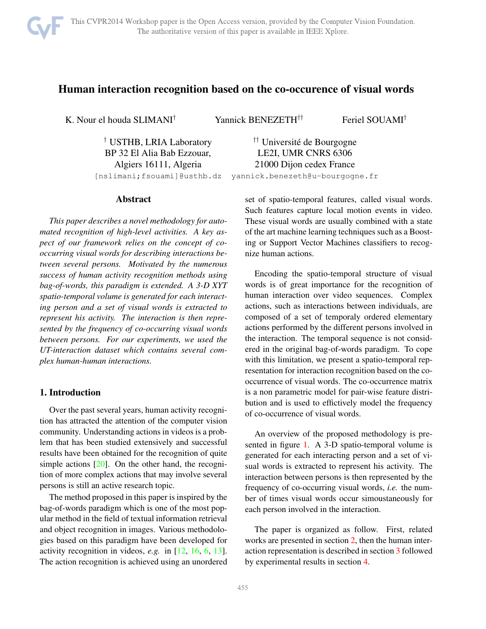

# <span id="page-0-0"></span>Human interaction recognition based on the co-occurence of visual words

K. Nour el houda SLIMANI† Yannick BENEZETH†† Feriel SOUAMI†

<sup>†</sup> USTHB, LRIA Laboratory <sup>††</sup> Université de Bourgogne

BP 32 El Alia Bab Ezzouar, LE2I, UMR CNRS 6306 Algiers 16111, Algeria 21000 Dijon cedex France [nslimani;fsouami]@usthb.dz yannick.benezeth@u-bourgogne.fr

#### Abstract

*This paper describes a novel methodology for automated recognition of high-level activities. A key aspect of our framework relies on the concept of cooccurring visual words for describing interactions between several persons. Motivated by the numerous success of human activity recognition methods using bag-of-words, this paradigm is extended. A 3-D XYT spatio-temporal volume is generated for each interacting person and a set of visual words is extracted to represent his activity. The interaction is then represented by the frequency of co-occurring visual words between persons. For our experiments, we used the UT-interaction dataset which contains several complex human-human interactions.*

### 1. Introduction

Over the past several years, human activity recognition has attracted the attention of the computer vision community. Understanding actions in videos is a problem that has been studied extensively and successful results have been obtained for the recognition of quite simple actions [\[20\]](#page-5-0). On the other hand, the recognition of more complex actions that may involve several persons is still an active research topic.

The method proposed in this paper is inspired by the bag-of-words paradigm which is one of the most popular method in the field of textual information retrieval and object recognition in images. Various methodologies based on this paradigm have been developed for activity recognition in videos, *e.g.* in [\[12,](#page-5-1) [16,](#page-5-2) [6,](#page-4-0) [13\]](#page-5-3). The action recognition is achieved using an unordered

set of spatio-temporal features, called visual words. Such features capture local motion events in video. These visual words are usually combined with a state of the art machine learning techniques such as a Boosting or Support Vector Machines classifiers to recognize human actions.

Encoding the spatio-temporal structure of visual words is of great importance for the recognition of human interaction over video sequences. Complex actions, such as interactions between individuals, are composed of a set of temporaly ordered elementary actions performed by the different persons involved in the interaction. The temporal sequence is not considered in the original bag-of-words paradigm. To cope with this limitation, we present a spatio-temporal representation for interaction recognition based on the cooccurrence of visual words. The co-occurrence matrix is a non parametric model for pair-wise feature distribution and is used to effictively model the frequency of co-occurrence of visual words.

An overview of the proposed methodology is presented in figure [1.](#page-1-0) A 3-D spatio-temporal volume is generated for each interacting person and a set of visual words is extracted to represent his activity. The interaction between persons is then represented by the frequency of co-occurring visual words, *i.e.* the number of times visual words occur simoustaneously for each person involved in the interaction.

The paper is organized as follow. First, related works are presented in section [2,](#page-1-1) then the human interaction representation is described in section [3](#page-1-2) followed by experimental results in section [4.](#page-3-0)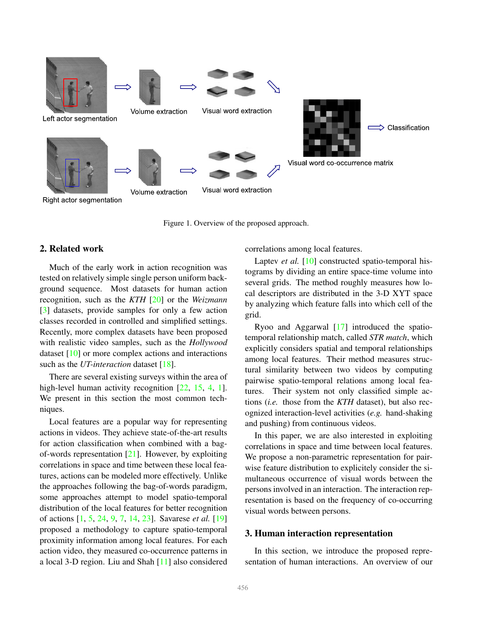<span id="page-1-3"></span>

<span id="page-1-0"></span>Figure 1. Overview of the proposed approach.

## <span id="page-1-1"></span>2. Related work

Much of the early work in action recognition was tested on relatively simple single person uniform background sequence. Most datasets for human action recognition, such as the *KTH* [\[20\]](#page-5-0) or the *Weizmann* [\[3\]](#page-4-1) datasets, provide samples for only a few action classes recorded in controlled and simplified settings. Recently, more complex datasets have been proposed with realistic video samples, such as the *Hollywood* dataset [\[10\]](#page-5-4) or more complex actions and interactions such as the *UT-interaction* dataset [\[18\]](#page-5-5).

There are several existing surveys within the area of high-level human activity recognition [\[22,](#page-5-6) [15,](#page-5-7) [4,](#page-4-2) [1\]](#page-4-3). We present in this section the most common techniques.

Local features are a popular way for representing actions in videos. They achieve state-of-the-art results for action classification when combined with a bagof-words representation  $[21]$ . However, by exploiting correlations in space and time between these local features, actions can be modeled more effectively. Unlike the approaches following the bag-of-words paradigm, some approaches attempt to model spatio-temporal distribution of the local features for better recognition of actions [\[1,](#page-4-3) [5,](#page-4-4) [24,](#page-5-9) [9,](#page-5-10) [7,](#page-4-5) [14,](#page-5-11) [23\]](#page-5-12). Savarese *et al.* [\[19\]](#page-5-13) proposed a methodology to capture spatio-temporal proximity information among local features. For each action video, they measured co-occurrence patterns in a local 3-D region. Liu and Shah [\[11\]](#page-5-14) also considered

correlations among local features.

Laptev *et al.* [\[10\]](#page-5-4) constructed spatio-temporal histograms by dividing an entire space-time volume into several grids. The method roughly measures how local descriptors are distributed in the 3-D XYT space by analyzing which feature falls into which cell of the grid.

Ryoo and Aggarwal [\[17\]](#page-5-15) introduced the spatiotemporal relationship match, called *STR match*, which explicitly considers spatial and temporal relationships among local features. Their method measures structural similarity between two videos by computing pairwise spatio-temporal relations among local features. Their system not only classified simple actions (*i.e.* those from the *KTH* dataset), but also recognized interaction-level activities (*e.g.* hand-shaking and pushing) from continuous videos.

In this paper, we are also interested in exploiting correlations in space and time between local features. We propose a non-parametric representation for pairwise feature distribution to explicitely consider the simultaneous occurrence of visual words between the persons involved in an interaction. The interaction representation is based on the frequency of co-occurring visual words between persons.

### <span id="page-1-2"></span>3. Human interaction representation

In this section, we introduce the proposed representation of human interactions. An overview of our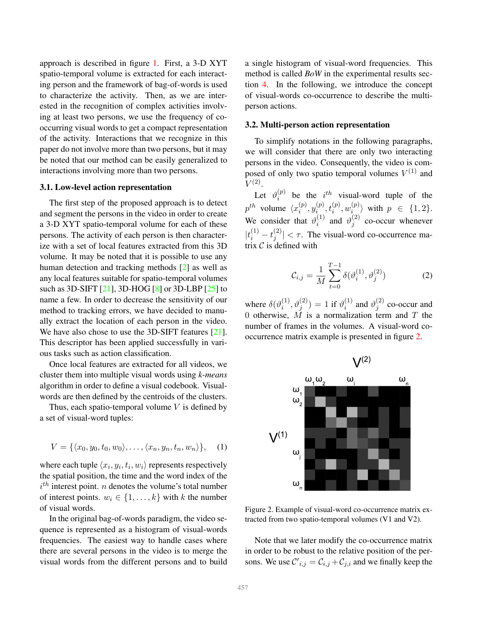<span id="page-2-1"></span>approach is described in figure [1.](#page-1-0) First, a 3-D XYT spatio-temporal volume is extracted for each interacting person and the framework of bag-of-words is used to characterize the activity. Then, as we are interested in the recognition of complex activities involving at least two persons, we use the frequency of cooccurring visual words to get a compact representation of the activity. Interactions that we recognize in this paper do not involve more than two persons, but it may be noted that our method can be easily generalized to interactions involving more than two persons.

#### 3.1. Low-level action representation

The first step of the proposed approach is to detect and segment the persons in the video in order to create a 3-D XYT spatio-temporal volume for each of these persons. The activity of each person is then characterize with a set of local features extracted from this 3D volume. It may be noted that it is possible to use any human detection and tracking methods [\[2\]](#page-4-6) as well as any local features suitable for spatio-temporal volumes such as 3D-SIFT [\[21\]](#page-5-8), 3D-HOG [\[8\]](#page-5-16) or 3D-LBP [\[25\]](#page-5-17) to name a few. In order to decrease the sensitivity of our method to tracking errors, we have decided to manually extract the location of each person in the video. We have also chose to use the 3D-SIFT features [\[21\]](#page-5-8). This descriptor has been applied successfully in various tasks such as action classification.

Once local features are extracted for all videos, we cluster them into multiple visual words using *k-means* algorithm in order to define a visual codebook. Visualwords are then defined by the centroids of the clusters.

Thus, each spatio-temporal volume  $V$  is defined by a set of visual-word tuples:

$$
V = \{ \langle x_0, y_0, t_0, w_0 \rangle, \dots, \langle x_n, y_n, t_n, w_n \rangle \}, \quad (1)
$$

where each tuple  $\langle x_i, y_i, t_i, w_i \rangle$  represents respectively the spatial position, the time and the word index of the  $i<sup>th</sup>$  interest point. *n* denotes the volume's total number of interest points.  $w_i \in \{1, \ldots, k\}$  with k the number of visual words.

In the original bag-of-words paradigm, the video sequence is represented as a histogram of visual-words frequencies. The easiest way to handle cases where there are several persons in the video is to merge the visual words from the different persons and to build a single histogram of visual-word frequencies. This method is called *BoW* in the experimental results section [4.](#page-3-0) In the following, we introduce the concept of visual-words co-occurrence to describe the multiperson actions.

#### 3.2. Multi-person action representation

To simplify notations in the following paragraphs, we will consider that there are only two interacting persons in the video. Consequently, the video is composed of only two spatio temporal volumes  $V^{(1)}$  and  $V^{(2)}.$ 

Let  $\vartheta_i^{(p)}$  $i^{(p)}$  be the  $i^{th}$  visual-word tuple of the  $p^{th}$  volume  $\langle x_i^{(p)} \rangle$  $\binom{p}{i},y_{i}^{(p)}$  $\hat{u}^{(p)}, t_i^{(p)}, w_i^{(p)}$  $\binom{p}{i}$  with  $p \in \{1,2\}.$ We consider that  $\vartheta_i^{(1)}$  $\begin{matrix} (1) \\ i \end{matrix}$  and  $\vartheta_j^{(2)}$  $j^{(2)}$  co-occur whenever  $|t_i^{(1)} - t_j^{(2)}|$  $|j^{(2)}| < \tau$ . The visual-word co-occurrence matrix  $C$  is defined with

$$
C_{i,j} = \frac{1}{M} \sum_{t=0}^{T-1} \delta(\vartheta_i^{(1)}, \vartheta_j^{(2)})
$$
 (2)

where  $\delta(\vartheta_i^{(1)})$  $\hat{\theta}_i^{(1)},\hat{\theta}_j^{(2)})=1$  if  $\vartheta_i^{(1)}$  $i^{(1)}$  and  $\vartheta_j^{(2)}$  $j^{(2)}$  co-occur and 0 otherwise,  $M$  is a normalization term and  $T$  the number of frames in the volumes. A visual-word cooccurrence matrix example is presented in figure [2.](#page-2-0)



<span id="page-2-0"></span>Figure 2. Example of visual-word co-occurrence matrix extracted from two spatio-temporal volumes (V1 and V2).

Note that we later modify the co-occurrence matrix in order to be robust to the relative position of the persons. We use  $\mathcal{C}'_{i,j} = \mathcal{C}_{i,j} + \mathcal{C}_{j,i}$  and we finally keep the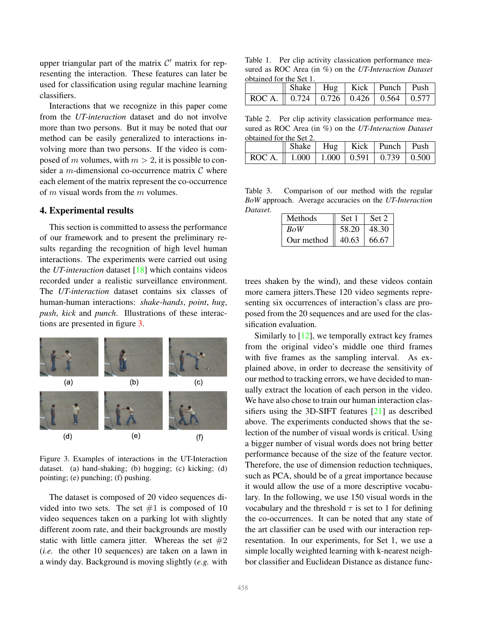<span id="page-3-5"></span>upper triangular part of the matrix  $C'$  matrix for representing the interaction. These features can later be used for classification using regular machine learning classifiers.

Interactions that we recognize in this paper come from the *UT-interaction* dataset and do not involve more than two persons. But it may be noted that our method can be easily generalized to interactions involving more than two persons. If the video is composed of m volumes, with  $m > 2$ , it is possible to consider a m-dimensional co-occurrence matrix  $\mathcal C$  where each element of the matrix represent the co-occurrence of m visual words from the m volumes.

#### <span id="page-3-0"></span>4. Experimental results

This section is committed to assess the performance of our framework and to present the preliminary results regarding the recognition of high level human interactions. The experiments were carried out using the *UT-interaction* dataset [\[18\]](#page-5-5) which contains videos recorded under a realistic surveillance environment. The *UT-interaction* dataset contains six classes of human-human interactions: *shake-hands*, *point*, *hug*, *push*, *kick* and *punch*. Illustrations of these interactions are presented in figure [3.](#page-3-1)



<span id="page-3-1"></span>Figure 3. Examples of interactions in the UT-Interaction dataset. (a) hand-shaking; (b) hugging; (c) kicking; (d) pointing; (e) punching; (f) pushing.

The dataset is composed of 20 video sequences divided into two sets. The set  $#1$  is composed of 10 video sequences taken on a parking lot with slightly different zoom rate, and their backgrounds are mostly static with little camera jitter. Whereas the set  $#2$ (*i.e.* the other 10 sequences) are taken on a lawn in a windy day. Background is moving slightly (*e.g.* with

<span id="page-3-2"></span>Table 1. Per clip activity classication performance measured as ROC Area (in %) on the *UT-Interaction Dataset* obtained for the Set 1.

|                                                 | Shake   Hug   Kick   Punch   Push |  |  |
|-------------------------------------------------|-----------------------------------|--|--|
| ROC A.    0.724   0.726   0.426   0.564   0.577 |                                   |  |  |

<span id="page-3-3"></span>Table 2. Per clip activity classication performance measured as ROC Area (in %) on the *UT-Interaction Dataset* obtained for the Set 2.

|                                                 | Shake   Hug   Kick   Punch   Push |  |  |
|-------------------------------------------------|-----------------------------------|--|--|
| ROC A.    1.000   1.000   0.591   0.739   0.500 |                                   |  |  |

Table 3. Comparison of our method with the regular *BoW* approach. Average accuracies on the *UT-Interaction Dataset*.

<span id="page-3-4"></span>

| Methods    | Set 1 | Set 2 |
|------------|-------|-------|
| <b>BoW</b> | 58.20 | 48.30 |
| Our method | 40.63 | 66.67 |

trees shaken by the wind), and these videos contain more camera jitters.These 120 video segments representing six occurrences of interaction's class are proposed from the 20 sequences and are used for the classification evaluation.

Similarly to  $[12]$ , we temporally extract key frames from the original video's middle one third frames with five frames as the sampling interval. As explained above, in order to decrease the sensitivity of our method to tracking errors, we have decided to manually extract the location of each person in the video. We have also chose to train our human interaction classifiers using the 3D-SIFT features [\[21\]](#page-5-8) as described above. The experiments conducted shows that the selection of the number of visual words is critical. Using a bigger number of visual words does not bring better performance because of the size of the feature vector. Therefore, the use of dimension reduction techniques, such as PCA, should be of a great importance because it would allow the use of a more descriptive vocabulary. In the following, we use 150 visual words in the vocabulary and the threshold  $\tau$  is set to 1 for defining the co-occurrences. It can be noted that any state of the art classifier can be used with our interaction representation. In our experiments, for Set 1, we use a simple locally weighted learning with k-nearest neighbor classifier and Euclidean Distance as distance func-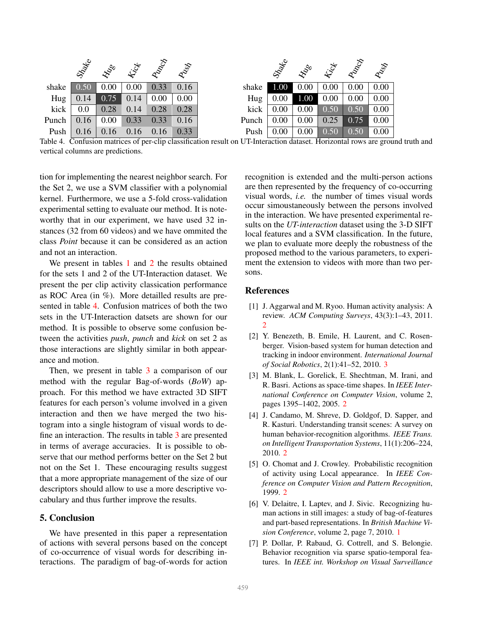|       | Strate | <b>ENDRO</b> |      | inter proposition | RAN  |       | Strate |          |      | <b>HOOO EST RIDGE</b> | RAST |
|-------|--------|--------------|------|-------------------|------|-------|--------|----------|------|-----------------------|------|
| shake | 0.50   | 0.00         | 0.00 | 0.33              | 0.16 | shake | 1.00   | 0.00     | 0.00 | 0.00                  | 0.00 |
| Hug   | 0.14   | 0.75         | 0.14 | 0.00              | 0.00 | Hug   | 0.00   | 1.00     | 0.00 | 0.00                  | 0.00 |
| kick  | 0.0    | 0.28         | 0.14 | 0.28              | 0.28 | kick  | 0.00   | 0.00     | 0.50 | 0.50                  | 0.00 |
| Punch | 0.16   | 0.00         | 0.33 | 0.33              | 0.16 | Punch | 0.00   | 0.00     | 0.25 | 0.75                  | 0.00 |
| Push  | 0.16   | 0.16         | 0.16 | 0.16              | 0.33 | Push  | 0.00   | $0.00\,$ | 0.50 | 0.50                  | 0.00 |

<span id="page-4-7"></span>Table 4. Confusion matrices of per-clip classification result on UT-Interaction dataset. Horizontal rows are ground truth and vertical columns are predictions.

tion for implementing the nearest neighbor search. For the Set 2, we use a SVM classifier with a polynomial kernel. Furthermore, we use a 5-fold cross-validation experimental setting to evaluate our method. It is noteworthy that in our experiment, we have used 32 instances (32 from 60 videos) and we have ommited the class *Point* because it can be considered as an action and not an interaction.

We present in tables [1](#page-3-2) and [2](#page-3-3) the results obtained for the sets 1 and 2 of the UT-Interaction dataset. We present the per clip activity classication performance as ROC Area (in %). More detailled results are presented in table [4.](#page-4-7) Confusion matrices of both the two sets in the UT-Interaction datsets are shown for our method. It is possible to observe some confusion between the activities *push*, *punch* and *kick* on set 2 as those interactions are slightly similar in both appearance and motion.

Then, we present in table [3](#page-3-4) a comparison of our method with the regular Bag-of-words (*BoW*) approach. For this method we have extracted 3D SIFT features for each person's volume involved in a given interaction and then we have merged the two histogram into a single histogram of visual words to define an interaction. The results in table [3](#page-3-4) are presented in terms of average accuracies. It is possible to observe that our method performs better on the Set 2 but not on the Set 1. These encouraging results suggest that a more appropriate management of the size of our descriptors should allow to use a more descriptive vocabulary and thus further improve the results.

#### 5. Conclusion

We have presented in this paper a representation of actions with several persons based on the concept of co-occurrence of visual words for describing interactions. The paradigm of bag-of-words for action

recognition is extended and the multi-person actions are then represented by the frequency of co-occurring visual words, *i.e.* the number of times visual words occur simoustaneously between the persons involved in the interaction. We have presented experimental results on the *UT-interaction* dataset using the 3-D SIFT local features and a SVM classification. In the future, we plan to evaluate more deeply the robustness of the proposed method to the various parameters, to experiment the extension to videos with more than two persons.

#### **References**

- <span id="page-4-3"></span>[1] J. Aggarwal and M. Ryoo. Human activity analysis: A review. *ACM Computing Surveys*, 43(3):1–43, 2011. [2](#page-1-3)
- <span id="page-4-6"></span>[2] Y. Benezeth, B. Emile, H. Laurent, and C. Rosenberger. Vision-based system for human detection and tracking in indoor environment. *International Journal of Social Robotics*, 2(1):41–52, 2010. [3](#page-2-1)
- <span id="page-4-1"></span>[3] M. Blank, L. Gorelick, E. Shechtman, M. Irani, and R. Basri. Actions as space-time shapes. In *IEEE International Conference on Computer Vision*, volume 2, pages 1395–1402, 2005. [2](#page-1-3)
- <span id="page-4-2"></span>[4] J. Candamo, M. Shreve, D. Goldgof, D. Sapper, and R. Kasturi. Understanding transit scenes: A survey on human behavior-recognition algorithms. *IEEE Trans. on Intelligent Transportation Systems*, 11(1):206–224, 2010. [2](#page-1-3)
- <span id="page-4-4"></span>[5] O. Chomat and J. Crowley. Probabilistic recognition of activity using Local appearance. In *IEEE Conference on Computer Vision and Pattern Recognition*, 1999. [2](#page-1-3)
- <span id="page-4-0"></span>[6] V. Delaitre, I. Laptev, and J. Sivic. Recognizing human actions in still images: a study of bag-of-features and part-based representations. In *British Machine Vision Conference*, volume 2, page 7, 2010. [1](#page-0-0)
- <span id="page-4-5"></span>[7] P. Dollar, P. Rabaud, G. Cottrell, and S. Belongie. Behavior recognition via sparse spatio-temporal features. In *IEEE int. Workshop on Visual Surveillance*